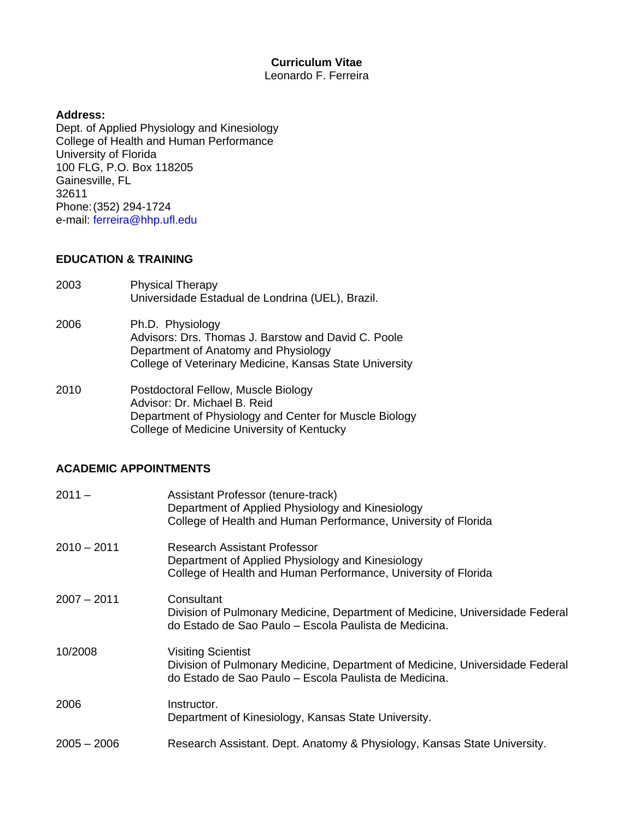#### **Curriculum Vitae** Leonardo F. Ferreira

#### **Address:**

Dept. of Applied Physiology and Kinesiology College of Health and Human Performance University of Florida 100 FLG, P.O. Box 118205 Gainesville, FL 32611 Phone:(352) 294-1724 e-mail: [ferreira@hhp.ufl.edu](mailto:ferreira@hhp.ufl.edu)

#### **EDUCATION & TRAINING**

- 2003 Physical Therapy Universidade Estadual de Londrina (UEL), Brazil.
- 2006 Ph.D. Physiology Advisors: Drs. Thomas J. Barstow and David C. Poole Department of Anatomy and Physiology College of Veterinary Medicine, Kansas State University
- 2010 Postdoctoral Fellow, Muscle Biology Advisor: Dr. Michael B. Reid Department of Physiology and Center for Muscle Biology College of Medicine University of Kentucky

#### **ACADEMIC APPOINTMENTS**

| $2011 -$      | Assistant Professor (tenure-track)<br>Department of Applied Physiology and Kinesiology<br>College of Health and Human Performance, University of Florida           |
|---------------|--------------------------------------------------------------------------------------------------------------------------------------------------------------------|
| $2010 - 2011$ | <b>Research Assistant Professor</b><br>Department of Applied Physiology and Kinesiology<br>College of Health and Human Performance, University of Florida          |
| $2007 - 2011$ | Consultant<br>Division of Pulmonary Medicine, Department of Medicine, Universidade Federal<br>do Estado de Sao Paulo - Escola Paulista de Medicina.                |
| 10/2008       | <b>Visiting Scientist</b><br>Division of Pulmonary Medicine, Department of Medicine, Universidade Federal<br>do Estado de Sao Paulo – Escola Paulista de Medicina. |
| 2006          | Instructor.<br>Department of Kinesiology, Kansas State University.                                                                                                 |
| $2005 - 2006$ | Research Assistant. Dept. Anatomy & Physiology, Kansas State University.                                                                                           |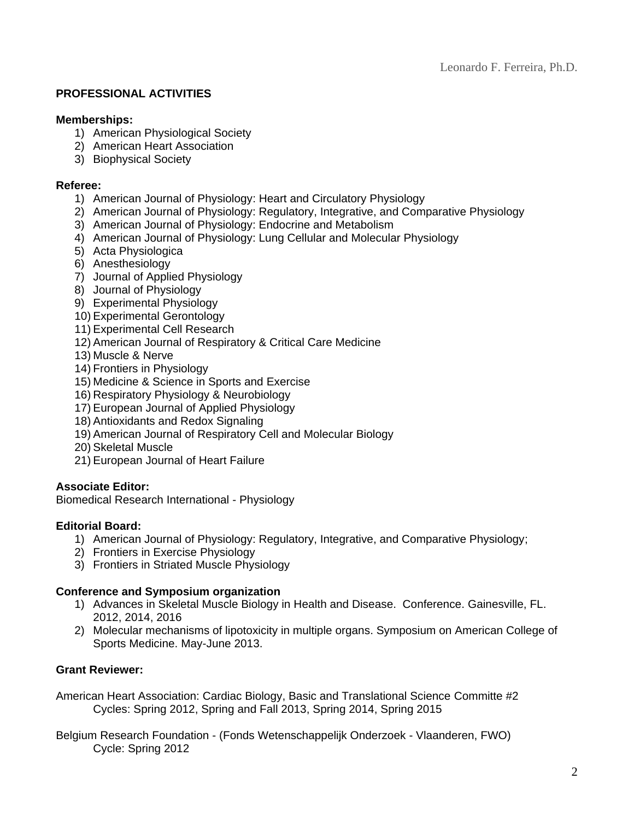## **PROFESSIONAL ACTIVITIES**

#### **Memberships:**

- 1) American Physiological Society
- 2) American Heart Association
- 3) Biophysical Society

#### **Referee:**

- 1) American Journal of Physiology: Heart and Circulatory Physiology
- 2) American Journal of Physiology: Regulatory, Integrative, and Comparative Physiology
- 3) American Journal of Physiology: Endocrine and Metabolism
- 4) American Journal of Physiology: Lung Cellular and Molecular Physiology
- 5) Acta Physiologica
- 6) Anesthesiology
- 7) Journal of Applied Physiology
- 8) Journal of Physiology
- 9) Experimental Physiology
- 10) Experimental Gerontology
- 11) Experimental Cell Research
- 12) American Journal of Respiratory & Critical Care Medicine
- 13) Muscle & Nerve
- 14) Frontiers in Physiology
- 15) Medicine & Science in Sports and Exercise
- 16) Respiratory Physiology & Neurobiology
- 17) European Journal of Applied Physiology
- 18) Antioxidants and Redox Signaling
- 19) American Journal of Respiratory Cell and Molecular Biology
- 20) Skeletal Muscle
- 21) European Journal of Heart Failure

## **Associate Editor:**

Biomedical Research International - Physiology

## **Editorial Board:**

- 1) American Journal of Physiology: Regulatory, Integrative, and Comparative Physiology;
- 2) Frontiers in Exercise Physiology
- 3) Frontiers in Striated Muscle Physiology

## **Conference and Symposium organization**

- 1) Advances in Skeletal Muscle Biology in Health and Disease. Conference. Gainesville, FL. 2012, 2014, 2016
- 2) Molecular mechanisms of lipotoxicity in multiple organs. Symposium on American College of Sports Medicine. May-June 2013.

## **Grant Reviewer:**

American Heart Association: Cardiac Biology, Basic and Translational Science Committe #2 Cycles: Spring 2012, Spring and Fall 2013, Spring 2014, Spring 2015

Belgium Research Foundation - (Fonds Wetenschappelijk Onderzoek - Vlaanderen, FWO) Cycle: Spring 2012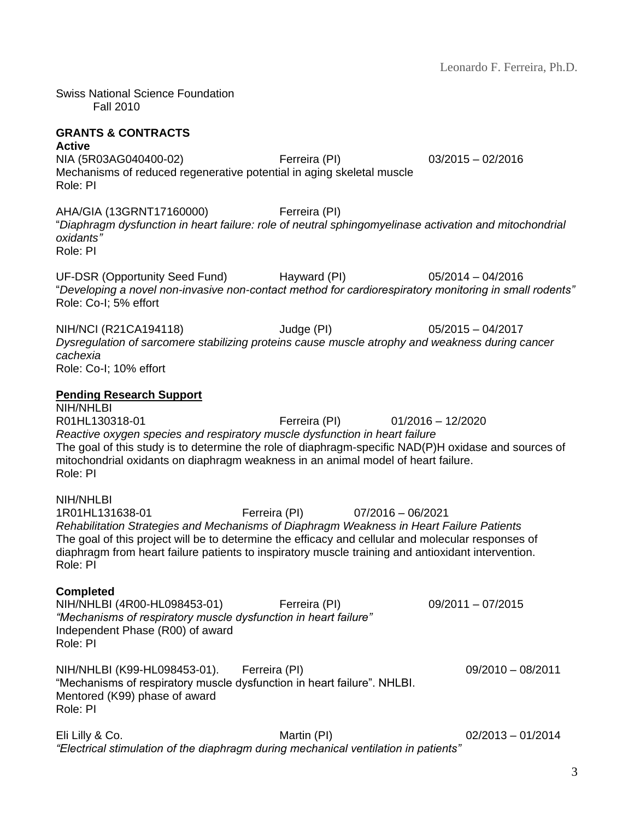Swiss National Science Foundation Fall 2010

# **GRANTS & CONTRACTS**

#### **Active**

NIA [\(5R03AG040400-02\)](https://public.era.nih.gov/grantfolder/piAppDetails/genericStatus.do?encryptedParam=OVRtOKpgRws.R3rOtpKDMiiTDVouxGJgPKi5GUPUccCfp7wJ-35Aa2Y.) Ferreira (PI) 03/2015 – 02/2016 Mechanisms of reduced regenerative potential in aging skeletal muscle Role: PI

AHA/GIA (13GRNT17160000) Ferreira (PI) "*Diaphragm dysfunction in heart failure: role of neutral sphingomyelinase activation and mitochondrial oxidants"* Role: PI

UF-DSR (Opportunity Seed Fund) Hayward (PI) 05/2014 – 04/2016 "*Developing a novel non-invasive non-contact method for cardiorespiratory monitoring in small rodents"* Role: Co-I; 5% effort

NIH/NCI (R21CA194118) Judge (PI) 05/2015 – 04/2017 *Dysregulation of sarcomere stabilizing proteins cause muscle atrophy and weakness during cancer cachexia* Role: Co-I; 10% effort

### **Pending Research Support**

NIH/NHI BI R01HL130318-01 Ferreira (PI) 01/2016 – 12/2020 *Reactive oxygen species and respiratory muscle dysfunction in heart failure* The goal of this study is to determine the role of diaphragm-specific NAD(P)H oxidase and sources of mitochondrial oxidants on diaphragm weakness in an animal model of heart failure. Role: PI

#### NIH/NHLBI

1R01HL131638-01 Ferreira (PI) 07/2016 – 06/2021 *Rehabilitation Strategies and Mechanisms of Diaphragm Weakness in Heart Failure Patients* The goal of this project will be to determine the efficacy and cellular and molecular responses of diaphragm from heart failure patients to inspiratory muscle training and antioxidant intervention. Role: PI

#### **Completed**

| NIH/NHLBI (4R00-HL098453-01)                                    | Ferreira (PI)                                                           | $09/2011 - 07/2015$ |
|-----------------------------------------------------------------|-------------------------------------------------------------------------|---------------------|
| "Mechanisms of respiratory muscle dysfunction in heart failure" |                                                                         |                     |
| Independent Phase (R00) of award                                |                                                                         |                     |
| Role: PI                                                        |                                                                         |                     |
| NIH/NHLBI (K99-HL098453-01). Ferreira (PI)                      |                                                                         | $09/2010 - 08/2011$ |
|                                                                 | "Mechanisms of respiratory muscle dysfunction in heart failure". NHLBI. |                     |
| Mentored (K99) phase of award                                   |                                                                         |                     |
| Role: PI                                                        |                                                                         |                     |
|                                                                 |                                                                         |                     |

Eli Lilly & Co. Martin (PI) 02/2013 – 01/2014 *"Electrical stimulation of the diaphragm during mechanical ventilation in patients"*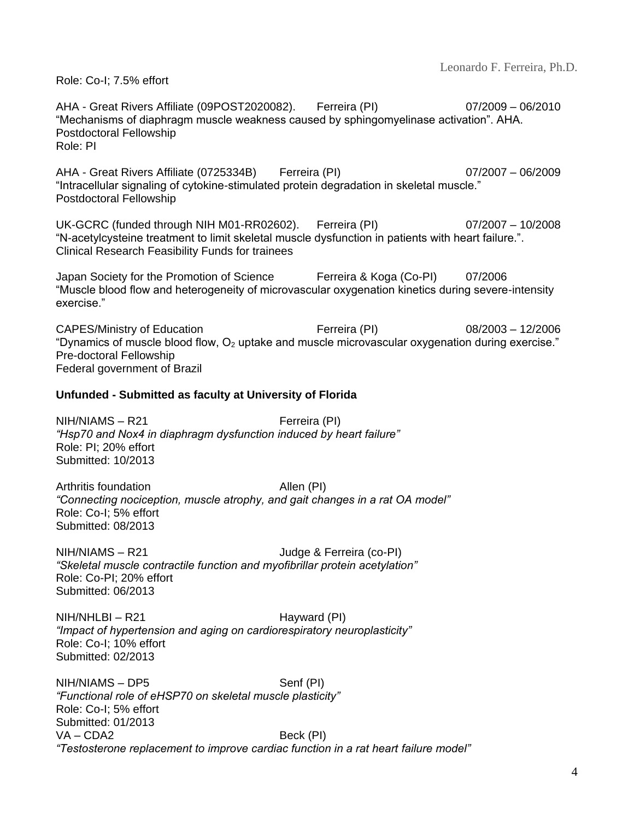Role: Co-I; 7.5% effort

AHA - Great Rivers Affiliate (09POST2020082). Ferreira (PI) 07/2009 – 06/2010 "Mechanisms of diaphragm muscle weakness caused by sphingomyelinase activation". AHA. Postdoctoral Fellowship Role: PI

AHA - Great Rivers Affiliate (0725334B) Ferreira (PI) 07/2007 – 06/2009 "Intracellular signaling of cytokine-stimulated protein degradation in skeletal muscle." Postdoctoral Fellowship

UK-GCRC (funded through NIH M01-RR02602). Ferreira (PI) 07/2007 – 10/2008 "N-acetylcysteine treatment to limit skeletal muscle dysfunction in patients with heart failure.". Clinical Research Feasibility Funds for trainees

Japan Society for the Promotion of Science Ferreira & Koga (Co-PI) 07/2006 "Muscle blood flow and heterogeneity of microvascular oxygenation kinetics during severe-intensity exercise."

CAPES/Ministry of Education Ferreira (PI) 08/2003 – 12/2006 "Dynamics of muscle blood flow,  $O_2$  uptake and muscle microvascular oxygenation during exercise." Pre-doctoral Fellowship Federal government of Brazil

### **Unfunded - Submitted as faculty at University of Florida**

NIH/NIAMS – R21 Ferreira (PI) *"Hsp70 and Nox4 in diaphragm dysfunction induced by heart failure"* Role: PI; 20% effort Submitted: 10/2013

Arthritis foundation Allen (PI) *"Connecting nociception, muscle atrophy, and gait changes in a rat OA model"* Role: Co-I; 5% effort Submitted: 08/2013

NIH/NIAMS – R21 Judge & Ferreira (co-PI) *"Skeletal muscle contractile function and myofibrillar protein acetylation"* Role: Co-PI; 20% effort Submitted: 06/2013

NIH/NHLBI – R21 Hayward (PI) *"Impact of hypertension and aging on cardiorespiratory neuroplasticity"* Role: Co-I; 10% effort Submitted: 02/2013

NIH/NIAMS – DP5 Senf (PI) *"Functional role of eHSP70 on skeletal muscle plasticity"* Role: Co-I; 5% effort Submitted: 01/2013 VA – CDA2 Beck (PI) *"Testosterone replacement to improve cardiac function in a rat heart failure model"*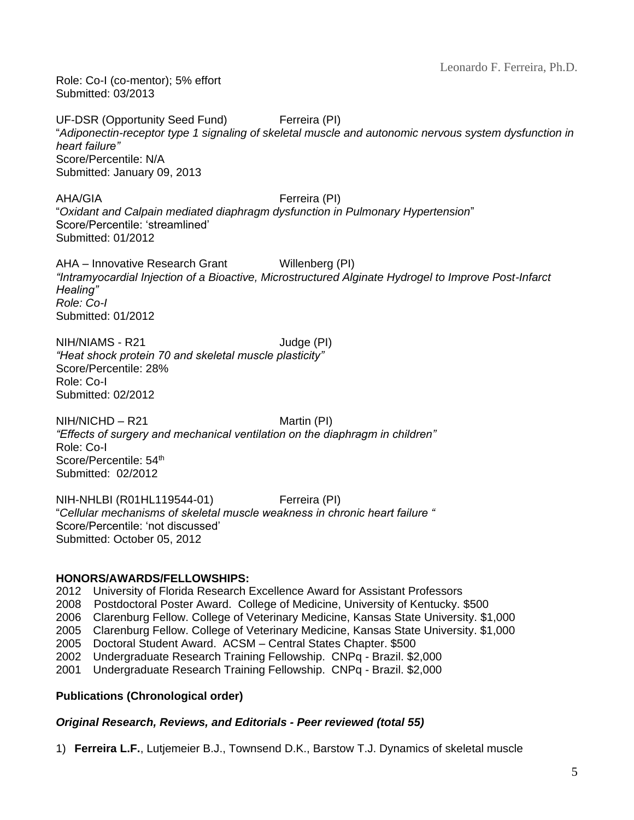Role: Co-I (co-mentor); 5% effort Submitted: 03/2013

UF-DSR (Opportunity Seed Fund) Ferreira (PI) "*Adiponectin-receptor type 1 signaling of skeletal muscle and autonomic nervous system dysfunction in heart failure"* Score/Percentile: N/A Submitted: January 09, 2013

AHA/GIA Ferreira (PI) "*Oxidant and Calpain mediated diaphragm dysfunction in Pulmonary Hypertension*" Score/Percentile: 'streamlined' Submitted: 01/2012

AHA – Innovative Research Grant Willenberg (PI) *"Intramyocardial Injection of a Bioactive, Microstructured Alginate Hydrogel to Improve Post-Infarct Healing" Role: Co-I* Submitted: 01/2012

NIH/NIAMS - R21 Judge (PI) *"Heat shock protein 70 and skeletal muscle plasticity"* Score/Percentile: 28% Role: Co-I Submitted: 02/2012

 $NIH/NICHD - R21$  Martin (PI) *"Effects of surgery and mechanical ventilation on the diaphragm in children"* Role: Co-I Score/Percentile: 54<sup>th</sup> Submitted: 02/2012

NIH-NHLBI (R01HL119544-01) Ferreira (PI) "*Cellular mechanisms of skeletal muscle weakness in chronic heart failure "* Score/Percentile: 'not discussed' Submitted: October 05, 2012

#### **HONORS/AWARDS/FELLOWSHIPS:**

2012 University of Florida Research Excellence Award for Assistant Professors

2008 Postdoctoral Poster Award. College of Medicine, University of Kentucky. \$500

2006 Clarenburg Fellow. College of Veterinary Medicine, Kansas State University. \$1,000

2005 Clarenburg Fellow. College of Veterinary Medicine, Kansas State University. \$1,000

2005 Doctoral Student Award. ACSM – Central States Chapter. \$500

2002 Undergraduate Research Training Fellowship. CNPq - Brazil. \$2,000

2001 Undergraduate Research Training Fellowship. CNPq - Brazil. \$2,000

## **Publications (Chronological order)**

#### *Original Research, Reviews, and Editorials - Peer reviewed (total 55)*

1) **Ferreira L.F.**, Lutjemeier B.J., Townsend D.K., Barstow T.J. Dynamics of skeletal muscle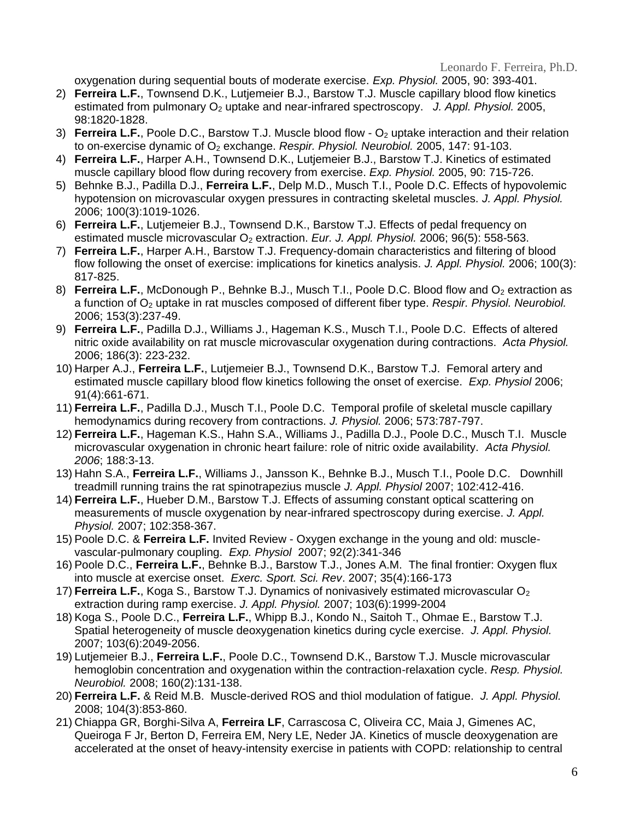oxygenation during sequential bouts of moderate exercise. *Exp. Physiol.* 2005, 90: 393-401.

- 2) **Ferreira L.F.**, Townsend D.K., Lutjemeier B.J., Barstow T.J. Muscle capillary blood flow kinetics estimated from pulmonary O<sub>2</sub> uptake and near-infrared spectroscopy. J. Appl. Physiol. 2005, 98:1820-1828.
- 3) **Ferreira L.F.**, Poole D.C., Barstow T.J. Muscle blood flow O<sup>2</sup> uptake interaction and their relation to on-exercise dynamic of O<sub>2</sub> exchange. *Respir. Physiol. Neurobiol.* 2005, 147: 91-103.
- 4) **Ferreira L.F.**, Harper A.H., Townsend D.K., Lutjemeier B.J., Barstow T.J. Kinetics of estimated muscle capillary blood flow during recovery from exercise. *Exp. Physiol.* 2005, 90: 715-726.
- 5) Behnke B.J., Padilla D.J., **Ferreira L.F.**, Delp M.D., Musch T.I., Poole D.C. Effects of hypovolemic hypotension on microvascular oxygen pressures in contracting skeletal muscles. *J. Appl. Physiol.* 2006; 100(3):1019-1026.
- 6) **Ferreira L.F.**, Lutjemeier B.J., Townsend D.K., Barstow T.J. Effects of pedal frequency on estimated muscle microvascular O<sub>2</sub> extraction. *Eur. J. Appl. Physiol.* 2006; 96(5): 558-563.
- 7) **Ferreira L.F.**, Harper A.H., Barstow T.J. Frequency-domain characteristics and filtering of blood flow following the onset of exercise: implications for kinetics analysis. *J. Appl. Physiol.* 2006; 100(3): 817-825.
- 8) **Ferreira L.F.**, McDonough P., Behnke B.J., Musch T.I., Poole D.C. Blood flow and O<sub>2</sub> extraction as a function of O<sub>2</sub> uptake in rat muscles composed of different fiber type. *Respir. Physiol. Neurobiol.* 2006; 153(3):237-49.
- 9) **Ferreira L.F.**, Padilla D.J., Williams J., Hageman K.S., Musch T.I., Poole D.C. Effects of altered nitric oxide availability on rat muscle microvascular oxygenation during contractions. *Acta Physiol.* 2006; 186(3): 223-232.
- 10) Harper A.J., **Ferreira L.F.**, Lutjemeier B.J., Townsend D.K., Barstow T.J. Femoral artery and estimated muscle capillary blood flow kinetics following the onset of exercise. *Exp. Physiol* 2006; 91(4):661-671.
- 11) **Ferreira L.F.**, Padilla D.J., Musch T.I., Poole D.C. Temporal profile of skeletal muscle capillary hemodynamics during recovery from contractions. *J. Physiol.* 2006; 573:787-797.
- 12) **Ferreira L.F.**, Hageman K.S., Hahn S.A., Williams J., Padilla D.J., Poole D.C., Musch T.I. Muscle microvascular oxygenation in chronic heart failure: role of nitric oxide availability. *Acta Physiol. 2006*; 188:3-13.
- 13) Hahn S.A., **Ferreira L.F.**, Williams J., Jansson K., Behnke B.J., Musch T.I., Poole D.C. Downhill treadmill running trains the rat spinotrapezius muscle *J. Appl. Physiol* 2007; 102:412-416.
- 14) **Ferreira L.F.**, Hueber D.M., Barstow T.J. Effects of assuming constant optical scattering on measurements of muscle oxygenation by near-infrared spectroscopy during exercise. *J. Appl. Physiol.* 2007; 102:358-367.
- 15) Poole D.C. & **Ferreira L.F.** Invited Review Oxygen exchange in the young and old: musclevascular-pulmonary coupling. *Exp. Physiol* 2007; 92(2):341-346
- 16) Poole D.C., **Ferreira L.F.**, Behnke B.J., Barstow T.J., Jones A.M. The final frontier: Oxygen flux into muscle at exercise onset. *Exerc. Sport. Sci. Rev*. 2007; 35(4):166-173
- 17) **Ferreira L.F.**, Koga S., Barstow T.J. Dynamics of nonivasively estimated microvascular O<sub>2</sub> extraction during ramp exercise. *J. Appl. Physiol.* 2007; 103(6):1999-2004
- 18) Koga S., Poole D.C., **Ferreira L.F.**, Whipp B.J., Kondo N., Saitoh T., Ohmae E., Barstow T.J. Spatial heterogeneity of muscle deoxygenation kinetics during cycle exercise. *J. Appl. Physiol.* 2007; 103(6):2049-2056.
- 19) Lutjemeier B.J., **Ferreira L.F.**, Poole D.C., Townsend D.K., Barstow T.J. Muscle microvascular hemoglobin concentration and oxygenation within the contraction-relaxation cycle. *Resp. Physiol. Neurobiol.* 2008; 160(2):131-138.
- 20) **Ferreira L.F.** & Reid M.B. Muscle-derived ROS and thiol modulation of fatigue. *J. Appl. Physiol.* 2008; 104(3):853-860.
- 21) Chiappa GR, Borghi-Silva A, **Ferreira LF**, Carrascosa C, Oliveira CC, Maia J, Gimenes AC, Queiroga F Jr, Berton D, Ferreira EM, Nery LE, Neder JA. Kinetics of muscle deoxygenation are accelerated at the onset of heavy-intensity exercise in patients with COPD: relationship to central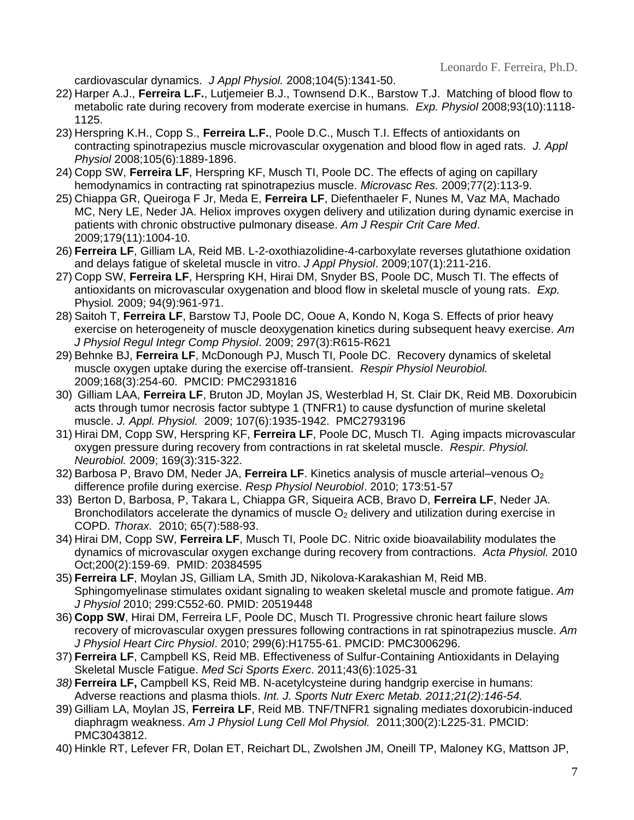cardiovascular dynamics. *J Appl Physiol.* 2008;104(5):1341-50.

- 22) Harper A.J., **Ferreira L.F.**, Lutjemeier B.J., Townsend D.K., Barstow T.J. Matching of blood flow to metabolic rate during recovery from moderate exercise in humans. *Exp. Physiol* 2008;93(10):1118- 1125.
- 23) Herspring K.H., Copp S., **Ferreira L.F.**, Poole D.C., Musch T.I. Effects of antioxidants on contracting spinotrapezius muscle microvascular oxygenation and blood flow in aged rats. *J. Appl Physiol* 2008;105(6):1889-1896.
- 24) Copp SW, **Ferreira LF**, Herspring KF, Musch TI, Poole DC. The effects of aging on capillary hemodynamics in contracting rat spinotrapezius muscle. *Microvasc Res.* 2009;77(2):113-9.
- 25) Chiappa GR, Queiroga F Jr, Meda E, **Ferreira LF**, Diefenthaeler F, Nunes M, Vaz MA, Machado MC, Nery LE, Neder JA. Heliox improves oxygen delivery and utilization during dynamic exercise in patients with chronic obstructive pulmonary disease. *Am J Respir Crit Care Med*. 2009;179(11):1004-10.
- 26) **Ferreira LF**, Gilliam LA, Reid MB. L-2-oxothiazolidine-4-carboxylate reverses glutathione oxidation and delays fatigue of skeletal muscle in vitro. *J Appl Physiol*. 2009;107(1):211-216.
- 27) Copp SW, **Ferreira LF**, Herspring KH, Hirai DM, Snyder BS, Poole DC, Musch TI. The effects of antioxidants on microvascular oxygenation and blood flow in skeletal muscle of young rats. *Exp.*  Physiol*.* 2009; 94(9):961-971.
- 28) Saitoh T, **Ferreira LF**, Barstow TJ, Poole DC, Ooue A, Kondo N, Koga S. Effects of prior heavy exercise on heterogeneity of muscle deoxygenation kinetics during subsequent heavy exercise. *Am J Physiol Regul Integr Comp Physiol*. 2009; 297(3):R615-R621
- 29) Behnke BJ, **Ferreira LF**, McDonough PJ, Musch TI, Poole DC. Recovery dynamics of skeletal muscle oxygen uptake during the exercise off-transient. *Respir Physiol Neurobiol.* 2009;168(3):254-60. PMCID: PMC2931816
- 30) Gilliam LAA, **Ferreira LF**, Bruton JD, Moylan JS, Westerblad H, St. Clair DK, Reid MB. Doxorubicin acts through tumor necrosis factor subtype 1 (TNFR1) to cause dysfunction of murine skeletal muscle. *J. Appl. Physiol.* 2009; 107(6):1935-1942. PMC2793196
- 31) Hirai DM, Copp SW, Herspring KF, **Ferreira LF**, Poole DC, Musch TI. Aging impacts microvascular oxygen pressure during recovery from contractions in rat skeletal muscle. *Respir. Physiol. Neurobiol.* 2009; 169(3):315-322.
- 32) Barbosa P, Bravo DM, Neder JA, **Ferreira LF**. Kinetics analysis of muscle arterial–venous O<sup>2</sup> difference profile during exercise. *Resp Physiol Neurobiol*. 2010; 173:51-57
- 33) Berton D, Barbosa, P, Takara L, Chiappa GR, Siqueira ACB, Bravo D, **Ferreira LF**, Neder JA. Bronchodilators accelerate the dynamics of muscle  $O<sub>2</sub>$  delivery and utilization during exercise in COPD. *Thorax.* 2010; 65(7):588-93.
- 34) Hirai DM, Copp SW, **Ferreira LF**, Musch TI, Poole DC. Nitric oxide bioavailability modulates the dynamics of microvascular oxygen exchange during recovery from contractions. *Acta Physiol.* 2010 Oct;200(2):159-69. PMID: 20384595
- 35) **Ferreira LF**, Moylan JS, Gilliam LA, Smith JD, Nikolova-Karakashian M, Reid MB. Sphingomyelinase stimulates oxidant signaling to weaken skeletal muscle and promote fatigue. *Am J Physiol* 2010; 299:C552-60. PMID: 20519448
- 36) **Copp SW**, Hirai DM, Ferreira LF, Poole DC, Musch TI. Progressive chronic heart failure slows recovery of microvascular oxygen pressures following contractions in rat spinotrapezius muscle. *Am J Physiol Heart Circ Physiol*. 2010; 299(6):H1755-61. PMCID: PMC3006296.
- 37) **Ferreira LF**, Campbell KS, Reid MB. Effectiveness of Sulfur-Containing Antioxidants in Delaying Skeletal Muscle Fatigue. *Med Sci Sports Exerc*. 2011;43(6):1025-31
- *38)* **Ferreira LF,** Campbell KS, Reid MB. N-acetylcysteine during handgrip exercise in humans: Adverse reactions and plasma thiols. *Int. J. Sports Nutr Exerc Metab. 2011;21(2):146-54.*
- 39) Gilliam LA, Moylan JS, **Ferreira LF**, Reid MB. TNF/TNFR1 signaling mediates doxorubicin-induced diaphragm weakness. *Am J Physiol Lung Cell Mol Physiol.* 2011;300(2):L225-31. PMCID: PMC3043812.
- 40) Hinkle RT, Lefever FR, Dolan ET, Reichart DL, Zwolshen JM, Oneill TP, Maloney KG, Mattson JP,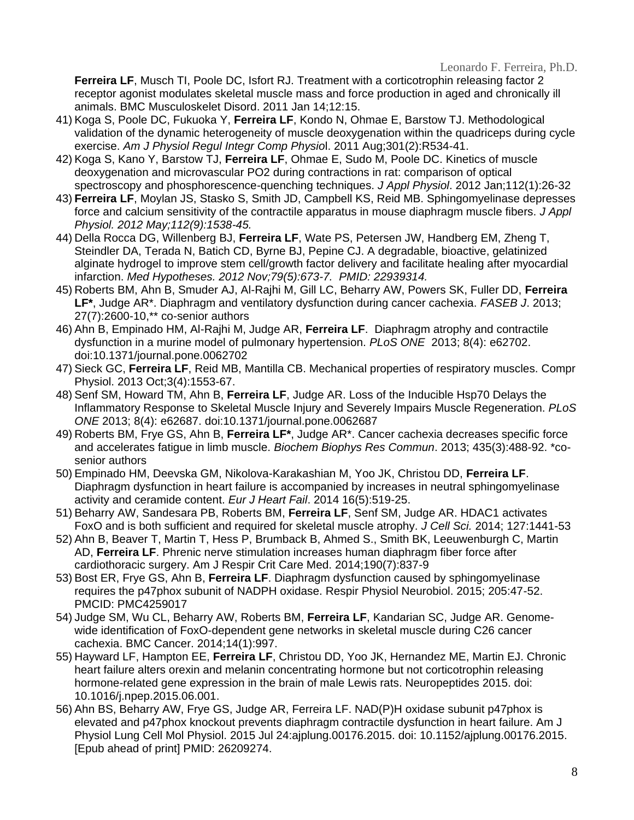**Ferreira LF**, Musch TI, Poole DC, Isfort RJ. Treatment with a corticotrophin releasing factor 2 receptor agonist modulates skeletal muscle mass and force production in aged and chronically ill animals. BMC Musculoskelet Disord. 2011 Jan 14;12:15.

- 41) Koga S, Poole DC, Fukuoka Y, **Ferreira LF**, Kondo N, Ohmae E, Barstow TJ. Methodological validation of the dynamic heterogeneity of muscle deoxygenation within the quadriceps during cycle exercise. *Am J Physiol Regul Integr Comp Physio*l. 2011 Aug;301(2):R534-41.
- 42) Koga S, Kano Y, Barstow TJ, **Ferreira LF**, Ohmae E, Sudo M, Poole DC. Kinetics of muscle deoxygenation and microvascular PO2 during contractions in rat: comparison of optical spectroscopy and phosphorescence-quenching techniques. *J Appl Physiol*. 2012 Jan;112(1):26-32
- 43) **Ferreira LF**, Moylan JS, Stasko S, Smith JD, Campbell KS, Reid MB. Sphingomyelinase depresses force and calcium sensitivity of the contractile apparatus in mouse diaphragm muscle fibers. *J Appl Physiol. 2012 May;112(9):1538-45.*
- 44) Della Rocca DG, Willenberg BJ, **Ferreira LF**, Wate PS, Petersen JW, Handberg EM, Zheng T, Steindler DA, Terada N, Batich CD, Byrne BJ, Pepine CJ. A degradable, bioactive, gelatinized alginate hydrogel to improve stem cell/growth factor delivery and facilitate healing after myocardial infarction. *Med Hypotheses. 2012 Nov;79(5):673-7. PMID: 22939314.*
- 45) Roberts BM, Ahn B, Smuder AJ, Al-Rajhi M, Gill LC, Beharry AW, Powers SK, Fuller DD, **Ferreira LF\***, Judge AR\*. Diaphragm and ventilatory dysfunction during cancer cachexia. *FASEB J*. 2013; 27(7):2600-10,\*\* co-senior authors
- 46) Ahn B, Empinado HM, Al-Rajhi M, Judge AR, **Ferreira LF**. Diaphragm atrophy and contractile dysfunction in a murine model of pulmonary hypertension. *PLoS ONE* 2013; 8(4): e62702. doi:10.1371/journal.pone.0062702
- 47) Sieck GC, **Ferreira LF**, Reid MB, Mantilla CB. Mechanical properties of respiratory muscles. Compr Physiol. 2013 Oct;3(4):1553-67.
- 48) Senf SM, Howard TM, Ahn B, **Ferreira LF**, Judge AR. Loss of the Inducible Hsp70 Delays the Inflammatory Response to Skeletal Muscle Injury and Severely Impairs Muscle Regeneration. *PLoS ONE* 2013; 8(4): e62687. doi:10.1371/journal.pone.0062687
- 49) Roberts BM, Frye GS, Ahn B, **Ferreira LF\***, Judge AR\*. Cancer cachexia decreases specific force and accelerates fatigue in limb muscle. *Biochem Biophys Res Commun*. 2013; 435(3):488-92. \*cosenior authors
- 50) Empinado HM, Deevska GM, Nikolova-Karakashian M, Yoo JK, Christou DD, **Ferreira LF**. Diaphragm dysfunction in heart failure is accompanied by increases in neutral sphingomyelinase activity and ceramide content. *Eur J Heart Fail*. 2014 16(5):519-25.
- 51) Beharry AW, Sandesara PB, Roberts BM, **Ferreira LF**, Senf SM, Judge AR. HDAC1 activates FoxO and is both sufficient and required for skeletal muscle atrophy. *J Cell Sci.* 2014; 127:1441-53
- 52) Ahn B, Beaver T, Martin T, Hess P, Brumback B, Ahmed S., Smith BK, Leeuwenburgh C, Martin AD, **Ferreira LF**. Phrenic nerve stimulation increases human diaphragm fiber force after cardiothoracic surgery. Am J Respir Crit Care Med. 2014;190(7):837-9
- 53) Bost ER, Frye GS, Ahn B, **Ferreira LF**. Diaphragm dysfunction caused by sphingomyelinase requires the p47phox subunit of NADPH oxidase. Respir Physiol Neurobiol. 2015; 205:47-52. PMCID: PMC4259017
- 54) Judge SM, Wu CL, Beharry AW, Roberts BM, **Ferreira LF**, Kandarian SC, Judge AR. Genomewide identification of FoxO-dependent gene networks in skeletal muscle during C26 cancer cachexia. BMC Cancer. 2014;14(1):997.
- 55) Hayward LF, Hampton EE, **Ferreira LF**, Christou DD, Yoo JK, Hernandez ME, Martin EJ. Chronic heart failure alters orexin and melanin concentrating hormone but not corticotrophin releasing hormone-related gene expression in the brain of male Lewis rats. Neuropeptides 2015. doi: 10.1016/j.npep.2015.06.001.
- 56) Ahn BS, Beharry AW, Frye GS, Judge AR, Ferreira LF. NAD(P)H oxidase subunit p47phox is elevated and p47phox knockout prevents diaphragm contractile dysfunction in heart failure. Am J Physiol Lung Cell Mol Physiol. 2015 Jul 24:ajplung.00176.2015. doi: 10.1152/ajplung.00176.2015. [Epub ahead of print] PMID: 26209274.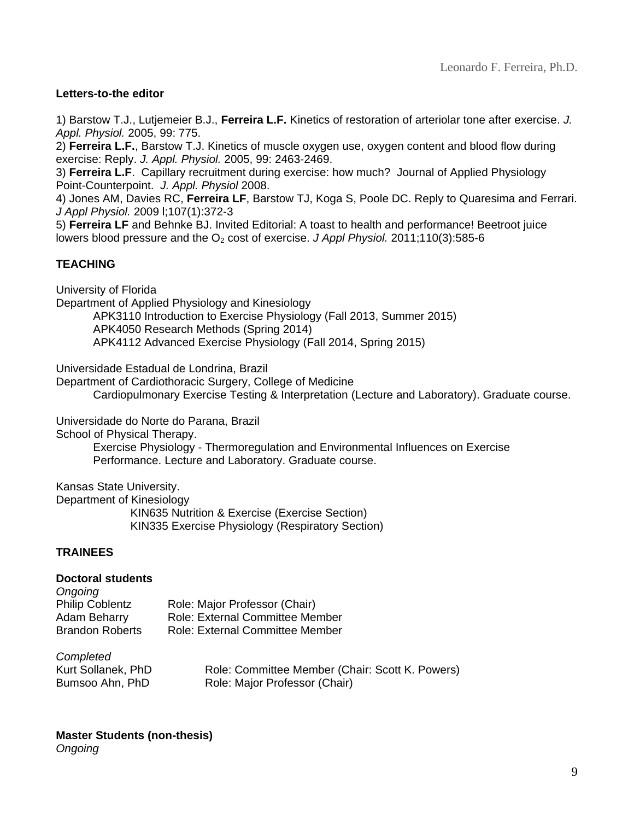### **Letters-to-the editor**

1) Barstow T.J., Lutjemeier B.J., **Ferreira L.F.** Kinetics of restoration of arteriolar tone after exercise. *J. Appl. Physiol.* 2005, 99: 775.

2) **Ferreira L.F.**, Barstow T.J. Kinetics of muscle oxygen use, oxygen content and blood flow during exercise: Reply. *J. Appl. Physiol.* 2005, 99: 2463-2469.

3) **Ferreira L.F**. Capillary recruitment during exercise: how much? Journal of Applied Physiology Point-Counterpoint. *J. Appl. Physiol* 2008.

4) Jones AM, Davies RC, **Ferreira LF**, Barstow TJ, Koga S, Poole DC. Reply to Quaresima and Ferrari. *J Appl Physiol.* 2009 l;107(1):372-3

5) **Ferreira LF** and Behnke BJ. Invited Editorial: A toast to health and performance! Beetroot juice lowers blood pressure and the O<sub>2</sub> cost of exercise. *J Appl Physiol.* 2011;110(3):585-6

## **TEACHING**

University of Florida

Department of Applied Physiology and Kinesiology

APK3110 Introduction to Exercise Physiology (Fall 2013, Summer 2015) APK4050 Research Methods (Spring 2014)

APK4112 Advanced Exercise Physiology (Fall 2014, Spring 2015)

Universidade Estadual de Londrina, Brazil

Department of Cardiothoracic Surgery, College of Medicine Cardiopulmonary Exercise Testing & Interpretation (Lecture and Laboratory). Graduate course.

Universidade do Norte do Parana, Brazil

School of Physical Therapy.

Exercise Physiology - Thermoregulation and Environmental Influences on Exercise Performance. Lecture and Laboratory. Graduate course.

Kansas State University.

Department of Kinesiology KIN635 Nutrition & Exercise (Exercise Section) KIN335 Exercise Physiology (Respiratory Section)

#### **TRAINEES**

#### **Doctoral students**

| Ongoing                |                                        |
|------------------------|----------------------------------------|
| <b>Philip Coblentz</b> | Role: Major Professor (Chair)          |
| Adam Beharry           | <b>Role: External Committee Member</b> |
| <b>Brandon Roberts</b> | Role: External Committee Member        |
|                        |                                        |

| Completed          |                                                 |
|--------------------|-------------------------------------------------|
| Kurt Sollanek, PhD | Role: Committee Member (Chair: Scott K. Powers) |
| Bumsoo Ahn, PhD    | Role: Major Professor (Chair)                   |

## **Master Students (non-thesis)**

*Ongoing*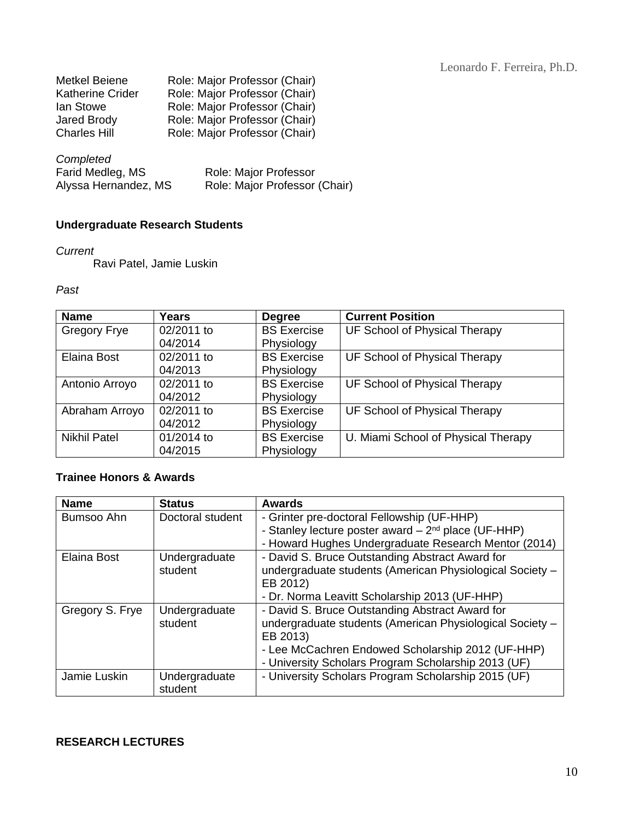| Metkel Beiene           | Role: Major Professor (Chair) |
|-------------------------|-------------------------------|
| <b>Katherine Crider</b> | Role: Major Professor (Chair) |
| lan Stowe               | Role: Major Professor (Chair) |
| <b>Jared Brody</b>      | Role: Major Professor (Chair) |
| <b>Charles Hill</b>     | Role: Major Professor (Chair) |

| Completed            |                               |
|----------------------|-------------------------------|
| Farid Medleg, MS     | <b>Role: Major Professor</b>  |
| Alyssa Hernandez, MS | Role: Major Professor (Chair) |

# **Undergraduate Research Students**

#### *Current*

Ravi Patel, Jamie Luskin

*Past*

| <b>Name</b>         | <b>Years</b> | <b>Degree</b>      | <b>Current Position</b>             |
|---------------------|--------------|--------------------|-------------------------------------|
| <b>Gregory Frye</b> | 02/2011 to   | <b>BS Exercise</b> | UF School of Physical Therapy       |
|                     | 04/2014      | Physiology         |                                     |
| Elaina Bost         | 02/2011 to   | <b>BS Exercise</b> | UF School of Physical Therapy       |
|                     | 04/2013      | Physiology         |                                     |
| Antonio Arroyo      | 02/2011 to   | <b>BS Exercise</b> | UF School of Physical Therapy       |
|                     | 04/2012      | Physiology         |                                     |
| Abraham Arroyo      | 02/2011 to   | <b>BS Exercise</b> | UF School of Physical Therapy       |
|                     | 04/2012      | Physiology         |                                     |
| <b>Nikhil Patel</b> | 01/2014 to   | <b>BS Exercise</b> | U. Miami School of Physical Therapy |
|                     | 04/2015      | Physiology         |                                     |

### **Trainee Honors & Awards**

| <b>Name</b>     | <b>Status</b>    | <b>Awards</b>                                            |
|-----------------|------------------|----------------------------------------------------------|
| Bumsoo Ahn      | Doctoral student | - Grinter pre-doctoral Fellowship (UF-HHP)               |
|                 |                  | - Stanley lecture poster award $-2^{nd}$ place (UF-HHP)  |
|                 |                  | - Howard Hughes Undergraduate Research Mentor (2014)     |
| Elaina Bost     | Undergraduate    | - David S. Bruce Outstanding Abstract Award for          |
|                 | student          | undergraduate students (American Physiological Society - |
|                 |                  | EB 2012)                                                 |
|                 |                  | - Dr. Norma Leavitt Scholarship 2013 (UF-HHP)            |
| Gregory S. Frye | Undergraduate    | - David S. Bruce Outstanding Abstract Award for          |
|                 | student          | undergraduate students (American Physiological Society - |
|                 |                  | EB 2013)                                                 |
|                 |                  | - Lee McCachren Endowed Scholarship 2012 (UF-HHP)        |
|                 |                  | - University Scholars Program Scholarship 2013 (UF)      |
| Jamie Luskin    | Undergraduate    | - University Scholars Program Scholarship 2015 (UF)      |
|                 | student          |                                                          |

## **RESEARCH LECTURES**